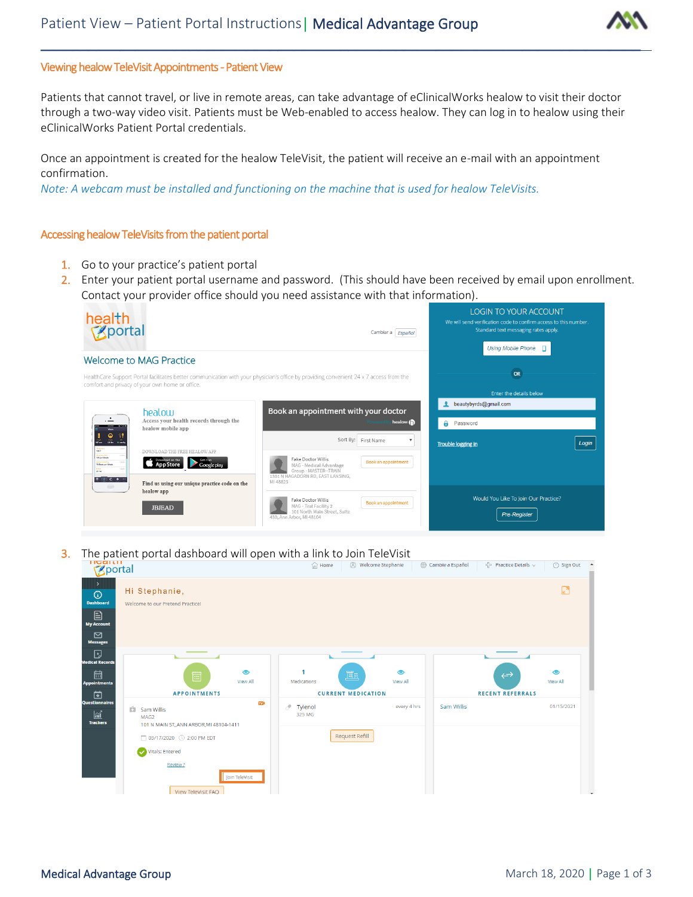

## Viewing healow TeleVisit Appointments - Patient View

Patients that cannot travel, or live in remote areas, can take advantage of eClinicalWorks healow to visit their doctor through a two-way video visit. Patients must be Web-enabled to access healow. They can log in to healow using their eClinicalWorks Patient Portal credentials.

\_\_\_\_\_\_\_\_\_\_\_\_\_\_\_\_\_\_\_\_\_\_\_\_\_\_\_\_\_\_\_\_\_\_\_\_\_\_\_\_\_\_\_\_\_\_\_\_\_\_\_\_\_\_\_\_\_\_\_\_\_\_\_\_\_\_\_\_\_\_\_\_\_\_\_\_

Once an appointment is created for the healow TeleVisit, the patient will receive an e-mail with an appointment confirmation.

*Note: A webcam must be installed and functioning on the machine that is used for healow TeleVisits.*

## Accessing healow TeleVisits from the patient portal

- 1. Go to your practice's patient portal
- 2. Enter your patient portal username and password. (This should have been received by email upon enrollment. Contact your provider office should you need assistance with that information).



3. The patient portal dashboard will open with a link to Join TeleVisit<br>  $\bigcirc_{\text{M} \text{Home}}$  A Melcome Stephanie

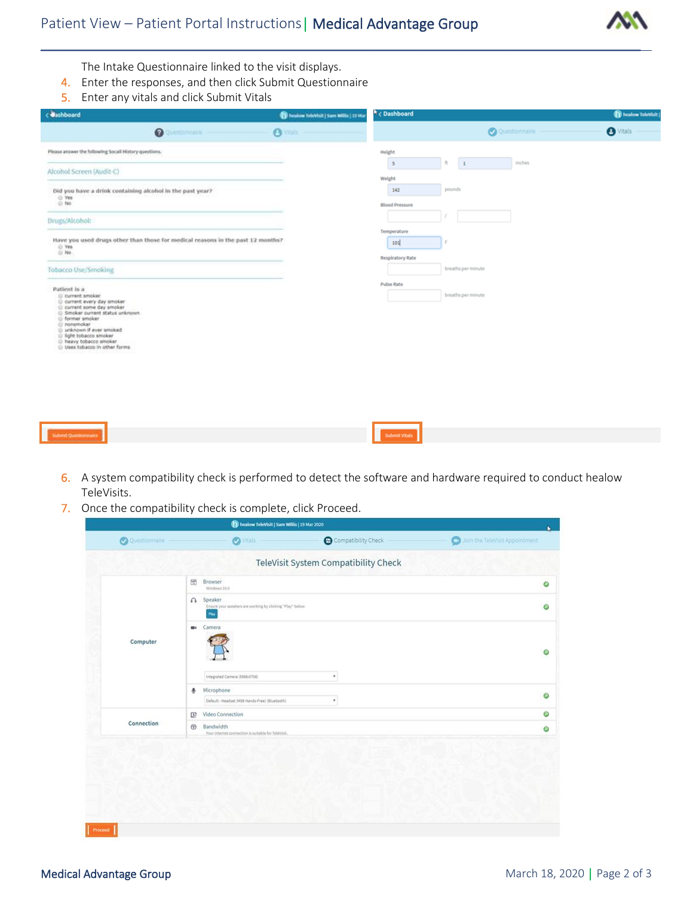

The Intake Questionnaire linked to the visit displays.

- 4. Enter the responses, and then click Submit Questionnaire
- 5. Enter any vitals and click Submit Vitals

| <b>Uashboard</b>                                                                                                                                                                                                                                                      | To heatow TeleVisit   Sam Willis   19 Mar | <sup>h</sup> < Dashboard                           |                                   | healow TeleVisit |
|-----------------------------------------------------------------------------------------------------------------------------------------------------------------------------------------------------------------------------------------------------------------------|-------------------------------------------|----------------------------------------------------|-----------------------------------|------------------|
| <b>O</b> Questions aim                                                                                                                                                                                                                                                | <b>O</b> Vitalia                          |                                                    | $\bullet$ Vitals<br>Questionnaire |                  |
| Please arower the following Socall History questions.                                                                                                                                                                                                                 |                                           | Height                                             |                                   |                  |
| Alcohol Screen (Audit-C)                                                                                                                                                                                                                                              |                                           | $\overline{1}$<br>ft.<br>$5\phantom{.0}$<br>Weight | inches                            |                  |
| Did you have a drink containing alcohol in the past year?<br>O Yes                                                                                                                                                                                                    |                                           | pounds<br>142                                      |                                   |                  |
| $\otimes$ No.                                                                                                                                                                                                                                                         |                                           | <b>Blood Pressure</b>                              |                                   |                  |
| Drugs/Alcohol:                                                                                                                                                                                                                                                        |                                           | Temperature                                        |                                   |                  |
| Have you used drugs other than those for medical reasons in the past 12 months?<br>Q Yes<br>$\otimes$ No                                                                                                                                                              |                                           | 101<br><b>Respiratory Rate</b>                     |                                   |                  |
| Tobacco Use/Smoking                                                                                                                                                                                                                                                   |                                           | breaths per minute                                 |                                   |                  |
| Patient is a                                                                                                                                                                                                                                                          |                                           | <b>Pulse Rate</b>                                  |                                   |                  |
| (i) current smoker.<br>C current every day smoker<br>C current some day smoker<br>C Smoker current status unknown<br>- former smoker<br>C nonsmoker<br>ill unknown if ever smoked<br>C light tobacco smoker<br>ID heavy tobacco smoker<br>Uses tobacco in other forms |                                           | breaths per minute                                 |                                   |                  |
|                                                                                                                                                                                                                                                                       |                                           |                                                    |                                   |                  |

6. A system compatibility check is performed to detect the software and hardware required to conduct healow TeleVisits.

Submit Vitals

7. Once the compatibility check is complete, click Proceed.

|               | healow TeleVisit   Sam Willis   19 Mar 2020                                              |                                      | N                              |
|---------------|------------------------------------------------------------------------------------------|--------------------------------------|--------------------------------|
| Questionnaire | <b>O</b> Vitals                                                                          | Compatibility Check                  | Join the TeleVisit Appointment |
|               |                                                                                          | TeleVisit System Compatibility Check |                                |
| Computer      | 同<br>Browser<br>Windows 10.0                                                             |                                      | O                              |
|               | Speaker<br>$\Omega$<br>Ensure your speakers are working by clicking "Play" below<br>Play |                                      | O                              |
|               | Camera<br>m.                                                                             |                                      | O                              |
|               | Integrated Camera (5986:0706)                                                            | ٠                                    |                                |
|               | Microphone<br>۰<br>Default - Headset (M38 Hands-Free) (Bluetooth)                        | ٠                                    | $\circ$                        |
| Connection    | Video Connection<br>[2]                                                                  |                                      | Ø                              |
|               | $\bigcirc$<br>Bandwidth<br>Your internet connection is suitable for TeleVisit.           |                                      | Θ                              |
|               |                                                                                          |                                      |                                |